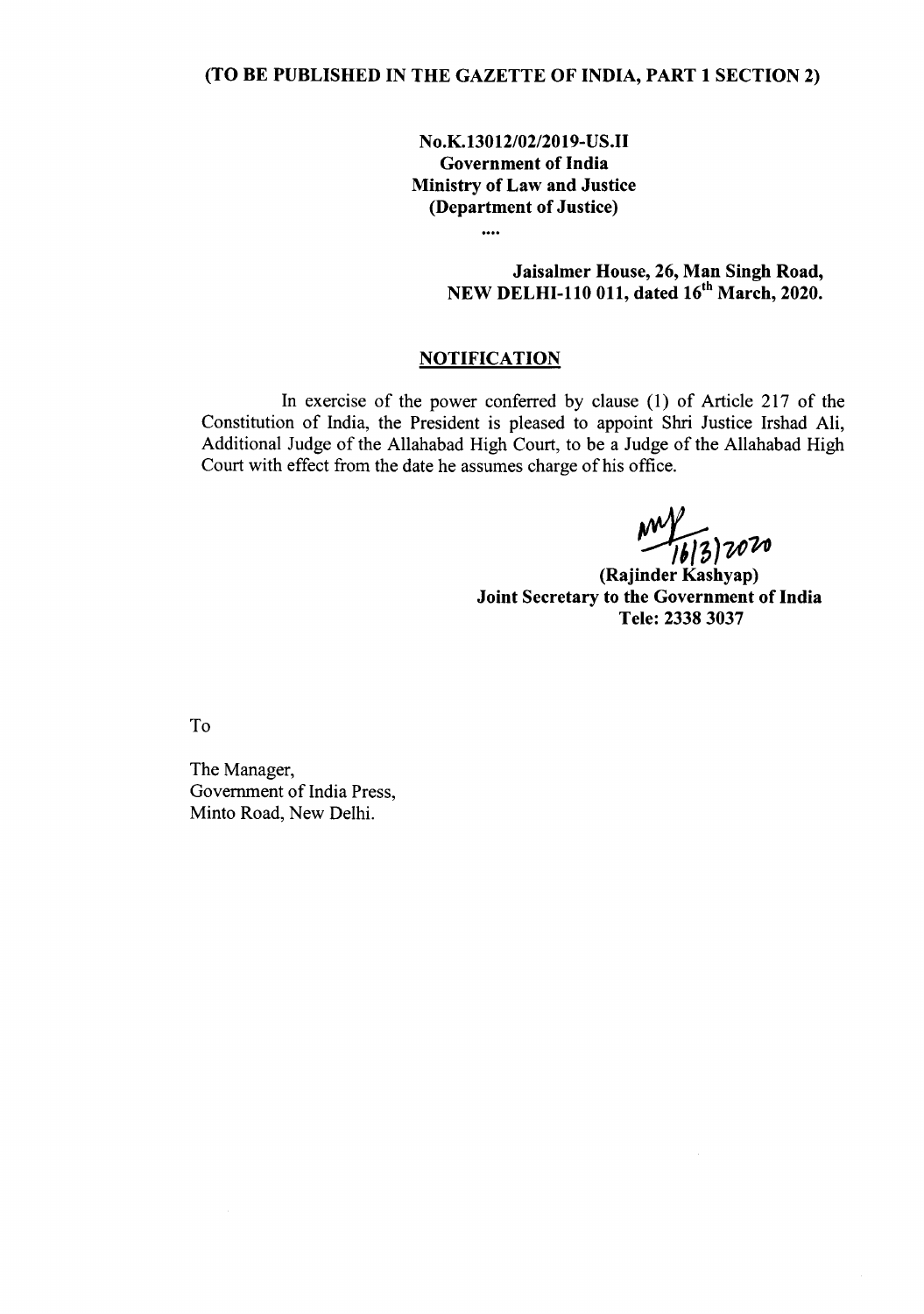No.K.13012/02/2019-US.II Government of India Ministry of Law and Justice (Department of Justice)

> Jaisalmer House, 26, Man Singh Road, NEW DELHI-110 011, dated 16<sup>th</sup> March, 2020.

## **NOTIFICATION**

....

In exercise of the power conferred by clause (1) of Article 217 of the Constitution of India, the President is pleased to appoint Shri Justice Irshad Ali, Additional Judge of the Allahabad High Court, to be a Judge of the Allahabad High Court with effect from the date he assumes charge of his office.

*~)~V.*

(Rajinder Kashyap) Joint Secretary to the Government of India Tele: 2338 3037

To

The Manager, Government of India Press, Minto Road, New Delhi.